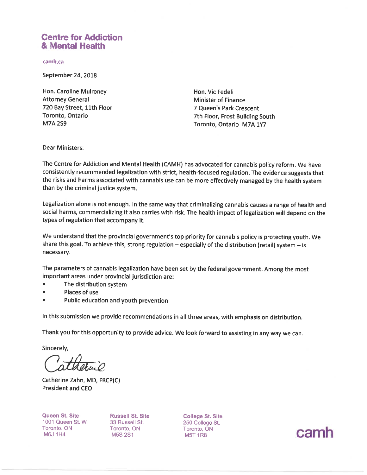# **Centre for Addiction** & Mental Health

camh.ca

September 24, 2018

Hon. Caroline Mulroney **Attorney General** 720 Bay Street, 11th Floor Toronto, Ontario **M7A 2S9** 

Hon. Vic Fedeli **Minister of Finance** 7 Queen's Park Crescent 7th Floor, Frost Building South Toronto, Ontario M7A 1Y7

**Dear Ministers:** 

The Centre for Addiction and Mental Health (CAMH) has advocated for cannabis policy reform. We have consistently recommended legalization with strict, health-focused regulation. The evidence suggests that the risks and harms associated with cannabis use can be more effectively managed by the health system than by the criminal justice system.

Legalization alone is not enough. In the same way that criminalizing cannabis causes a range of health and social harms, commercializing it also carries with risk. The health impact of legalization will depend on the types of regulation that accompany it.

We understand that the provincial government's top priority for cannabis policy is protecting youth. We share this goal. To achieve this, strong regulation  $-$  especially of the distribution (retail) system  $-$  is necessary.

The parameters of cannabis legalization have been set by the federal government. Among the most important areas under provincial jurisdiction are:

- The distribution system  $\bullet$
- Places of use
- Public education and youth prevention

In this submission we provide recommendations in all three areas, with emphasis on distribution.

Thank you for this opportunity to provide advice. We look forward to assisting in any way we can.

Sincerely,

Catherine Zahn, MD, FRCP(C) **President and CEO** 

Queen St. Site 1001 Queen St. W Toronto, ON **M6J 1H4** 

**Russell St. Site** 33 Russell St. Toronto, ON M5S 2S1

**College St. Site** 250 College St. Toronto, ON **M5T 1R8** 

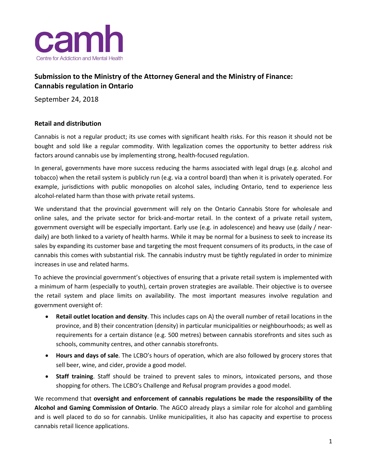

## **Submission to the Ministry of the Attorney General and the Ministry of Finance: Cannabis regulation in Ontario**

September 24, 2018

### **Retail and distribution**

Cannabis is not a regular product; its use comes with significant health risks. For this reason it should not be bought and sold like a regular commodity. With legalization comes the opportunity to better address risk factors around cannabis use by implementing strong, health-focused regulation.

In general, governments have more success reducing the harms associated with legal drugs (e.g. alcohol and tobacco) when the retail system is publicly run (e.g. via a control board) than when it is privately operated. For example, jurisdictions with public monopolies on alcohol sales, including Ontario, tend to experience less alcohol-related harm than those with private retail systems.

We understand that the provincial government will rely on the Ontario Cannabis Store for wholesale and online sales, and the private sector for brick-and-mortar retail. In the context of a private retail system, government oversight will be especially important. Early use (e.g. in adolescence) and heavy use (daily / neardaily) are both linked to a variety of health harms. While it may be normal for a business to seek to increase its sales by expanding its customer base and targeting the most frequent consumers of its products, in the case of cannabis this comes with substantial risk. The cannabis industry must be tightly regulated in order to minimize increases in use and related harms.

To achieve the provincial government's objectives of ensuring that a private retail system is implemented with a minimum of harm (especially to youth), certain proven strategies are available. Their objective is to oversee the retail system and place limits on availability. The most important measures involve regulation and government oversight of:

- **Retail outlet location and density**. This includes caps on A) the overall number of retail locations in the province, and B) their concentration (density) in particular municipalities or neighbourhoods; as well as requirements for a certain distance (e.g. 500 metres) between cannabis storefronts and sites such as schools, community centres, and other cannabis storefronts.
- **Hours and days of sale**. The LCBO's hours of operation, which are also followed by grocery stores that sell beer, wine, and cider, provide a good model.
- **Staff training**. Staff should be trained to prevent sales to minors, intoxicated persons, and those shopping for others. The LCBO's Challenge and Refusal program provides a good model.

We recommend that **oversight and enforcement of cannabis regulations be made the responsibility of the Alcohol and Gaming Commission of Ontario**. The AGCO already plays a similar role for alcohol and gambling and is well placed to do so for cannabis. Unlike municipalities, it also has capacity and expertise to process cannabis retail licence applications.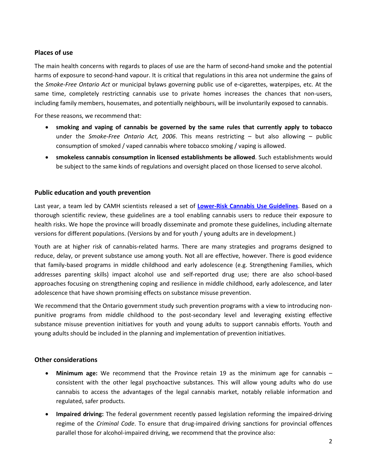#### **Places of use**

The main health concerns with regards to places of use are the harm of second-hand smoke and the potential harms of exposure to second-hand vapour. It is critical that regulations in this area not undermine the gains of the *Smoke-Free Ontario Act* or municipal bylaws governing public use of e-cigarettes, waterpipes, etc. At the same time, completely restricting cannabis use to private homes increases the chances that non-users, including family members, housemates, and potentially neighbours, will be involuntarily exposed to cannabis.

For these reasons, we recommend that:

- **smoking and vaping of cannabis be governed by the same rules that currently apply to tobacco** under the *Smoke-Free Ontario Act, 2006*. This means restricting – but also allowing – public consumption of smoked / vaped cannabis where tobacco smoking / vaping is allowed.
- **smokeless cannabis consumption in licensed establishments be allowed**. Such establishments would be subject to the same kinds of regulations and oversight placed on those licensed to serve alcohol.

#### **Public education and youth prevention**

Last year, a team led by CAMH scientists released a set of **[Lower-Risk Cannabis Use Guidelines](http://crismontario.ca/research-projects/lower-risk-cannabis-use-guidelines)**. Based on a thorough scientific review, these guidelines are a tool enabling cannabis users to reduce their exposure to health risks. We hope the province will broadly disseminate and promote these guidelines, including alternate versions for different populations. (Versions by and for youth / young adults are in development.)

Youth are at higher risk of cannabis-related harms. There are many strategies and programs designed to reduce, delay, or prevent substance use among youth. Not all are effective, however. There is good evidence that family-based programs in middle childhood and early adolescence (e.g. Strengthening Families, which addresses parenting skills) impact alcohol use and self-reported drug use; there are also school-based approaches focusing on strengthening coping and resilience in middle childhood, early adolescence, and later adolescence that have shown promising effects on substance misuse prevention.

We recommend that the Ontario government study such prevention programs with a view to introducing nonpunitive programs from middle childhood to the post-secondary level and leveraging existing effective substance misuse prevention initiatives for youth and young adults to support cannabis efforts. Youth and young adults should be included in the planning and implementation of prevention initiatives.

#### **Other considerations**

- **Minimum age:** We recommend that the Province retain 19 as the minimum age for cannabis consistent with the other legal psychoactive substances. This will allow young adults who do use cannabis to access the advantages of the legal cannabis market, notably reliable information and regulated, safer products.
- **Impaired driving:** The federal government recently passed legislation reforming the impaired-driving regime of the *Criminal Code*. To ensure that drug-impaired driving sanctions for provincial offences parallel those for alcohol-impaired driving, we recommend that the province also: